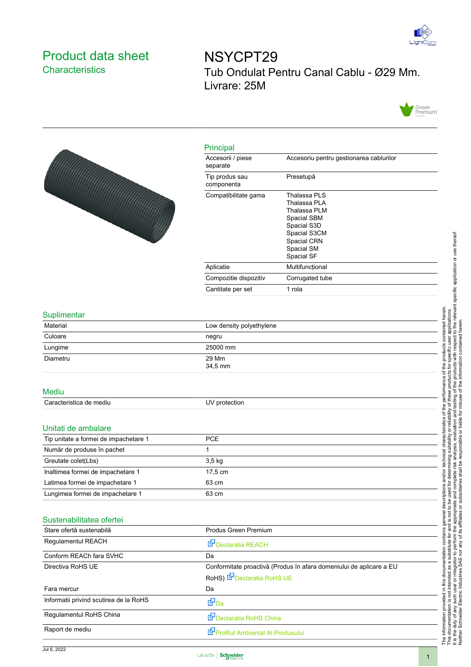

## Product data sheet **Characteristics**

NSYCPT29 Tub Ondulat Pentru Canal Cablu - Ø29 Mm. Livrare: 25M





relevant specific application or use thereof It is the duty of any such user or integrator to perform the appropriate and complete risk analysis, evaluation and testing of the products with respect to the relevant specific application or use thereof. contained herein. The information provided in this documentation contains general descriptions and/or technical characteristics of the performance of the products contained herein. user applications.<br>spect to the releva This documentation is not intended as a substitute for and is not to be used for determining suitability or reliability of these products for specific user applications. Neither Schneider Electric Industries SAS nor any of its affiliates or subsidiaries shall be responsible or liable for misuse of the information contained herein. y of these products for specific user applica<br>testing of the products with respect to the<br>misuse of the information contained herein the products  $\overline{\sigma}$ performance characteristics of the or reliability o<br>luation and te esponsible or liable for rmining suitability or<br>risk analysis, evalua technica ed<br>O shall and/or deter es. used for<br>and comp scriptions or subsidiar to be u ě general  $\overline{p}$ affiliates and is<br>the app contains its stitute for a<br>perform th This documentation is not intended as a substitute for<br>It is the duty of any such user or integrator to perform<br>Neither Schneider Electric Industries SAS nor any of documentation this The information provided in



Raport de mediu **[Profilul Ambiental Al Produsulu](https://download.schneider-electric.com/files?p_enDocType=Product+environmental&p_Doc_Ref=ENVPEP110923EN)i**